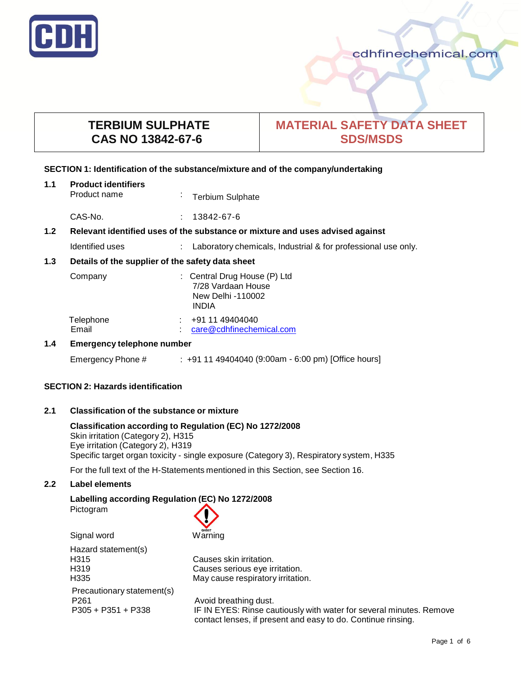

# **TERBIUM SULPHATE CAS NO 13842-67-6**

# **MATERIAL SAFETY DATA SHEET SDS/MSDS**

## **SECTION 1: Identification of the substance/mixture and of the company/undertaking**

| 1.1              | <b>Product identifiers</b><br>Product name                                    | $\bullet$ | <b>Terbium Sulphate</b>                                                                 |
|------------------|-------------------------------------------------------------------------------|-----------|-----------------------------------------------------------------------------------------|
|                  | CAS-No.                                                                       | ÷.        | 13842-67-6                                                                              |
| 1.2 <sub>2</sub> | Relevant identified uses of the substance or mixture and uses advised against |           |                                                                                         |
|                  | Identified uses                                                               |           | Laboratory chemicals, Industrial & for professional use only.                           |
| 1.3              | Details of the supplier of the safety data sheet                              |           |                                                                                         |
|                  | Company                                                                       |           | : Central Drug House (P) Ltd<br>7/28 Vardaan House<br>New Delhi -110002<br><b>INDIA</b> |
|                  | Telephone<br>Email                                                            |           | $\div$ +91 11 49404040<br>care@cdhfinechemical.com                                      |
| 1.4              | <b>Emergency telephone number</b>                                             |           |                                                                                         |
|                  | Emergency Phone #                                                             |           | $: +911149404040$ (9:00am - 6:00 pm) [Office hours]                                     |

## **SECTION 2: Hazards identification**

# **2.1 Classification of the substance or mixture**

**Classification according to Regulation (EC) No 1272/2008** Skin irritation (Category 2), H315 Eye irritation (Category 2), H319 Specific target organ toxicity - single exposure (Category 3), Respiratory system, H335

For the full text of the H-Statements mentioned in this Section, see Section 16.

# **2.2 Label elements**

**Labelling according Regulation (EC) No 1272/2008** Pictogram



Hazard statement(s) H315 Causes skin irritation. H319 Causes serious eye irritation. H335 May cause respiratory irritation. Precautionary statement(s) P261 **Avoid breathing dust.** 

P305 + P351 + P338 IF IN EYES: Rinse cautiously with water for several minutes. Remove contact lenses, if present and easy to do. Continue rinsing.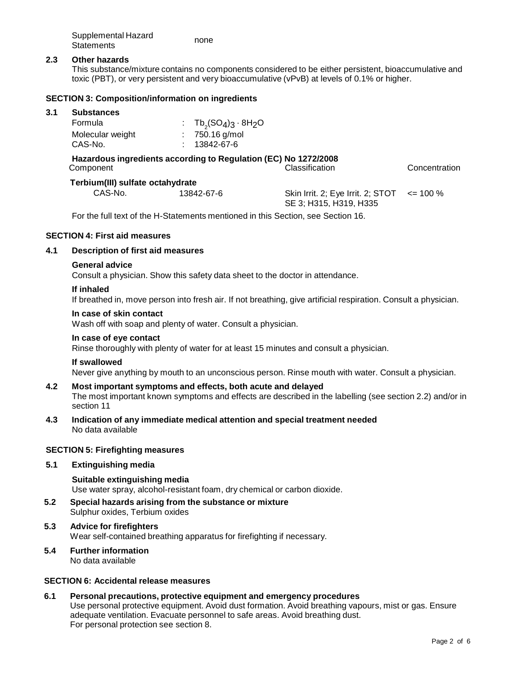| Supplemental Hazard | none |
|---------------------|------|
| <b>Statements</b>   |      |

## **2.3 Other hazards**

This substance/mixture contains no components considered to be either persistent, bioaccumulative and toxic (PBT), or very persistent and very bioaccumulative (vPvB) at levels of 0.1% or higher.

## **SECTION 3: Composition/information on ingredients**

#### **3.1 Substances**

| Formula          | : $Tb_s(SO_4)_3 \cdot 8H_2O$ |
|------------------|------------------------------|
| Molecular weight | $: 750.16$ g/mol             |
| CAS-No.          | 13842-67-6                   |

## **Hazardous ingredients according to Regulation (EC) No 1272/2008** Classification Concentration

| Terbium(III) sulfate octahydrate |             |
|----------------------------------|-------------|
| CAS-No.                          | $13842 - 6$ |

 13842-67-6 Skin Irrit. 2; Eye Irrit. 2; STOT SE 3; H315, H319, H335  $\leq$  100 %

For the full text of the H-Statements mentioned in this Section, see Section 16.

## **SECTION 4: First aid measures**

## **4.1 Description of first aid measures**

#### **General advice**

Consult a physician. Show this safety data sheet to the doctor in attendance.

#### **If inhaled**

If breathed in, move person into fresh air. If not breathing, give artificial respiration. Consult a physician.

## **In case of skin contact**

Wash off with soap and plenty of water. Consult a physician.

## **In case of eye contact**

Rinse thoroughly with plenty of water for at least 15 minutes and consult a physician.

#### **If swallowed**

Never give anything by mouth to an unconscious person. Rinse mouth with water. Consult a physician.

#### **4.2 Most important symptoms and effects, both acute and delayed**

The most important known symptoms and effects are described in the labelling (see section 2.2) and/or in section 11

**4.3 Indication of any immediate medical attention and special treatment needed** No data available

#### **SECTION 5: Firefighting measures**

## **5.1 Extinguishing media**

**Suitable extinguishing media** Use water spray, alcohol-resistant foam, dry chemical or carbon dioxide.

- **5.2 Special hazards arising from the substance or mixture** Sulphur oxides, Terbium oxides
- **5.3 Advice for firefighters** Wear self-contained breathing apparatus for firefighting if necessary.
- **5.4 Further information** No data available

## **SECTION 6: Accidental release measures**

**6.1 Personal precautions, protective equipment and emergency procedures** Use personal protective equipment. Avoid dust formation. Avoid breathing vapours, mist or gas. Ensure adequate ventilation. Evacuate personnel to safe areas. Avoid breathing dust. For personal protection see section 8.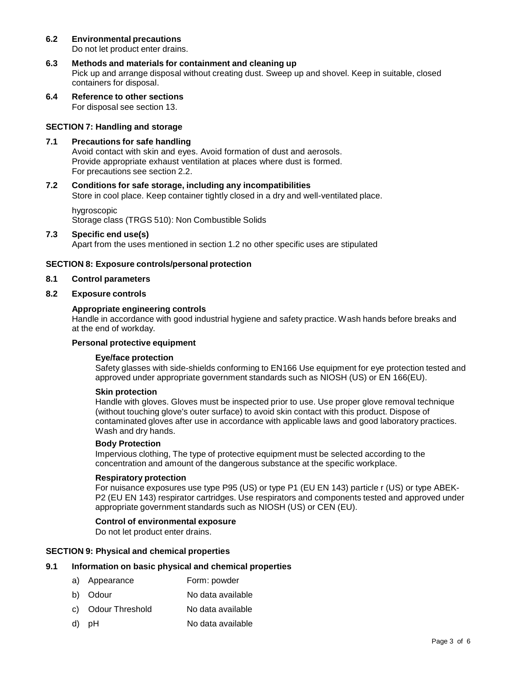## **6.2 Environmental precautions**

Do not let product enter drains.

- **6.3 Methods and materials for containment and cleaning up** Pick up and arrange disposal without creating dust. Sweep up and shovel. Keep in suitable, closed containers for disposal.
- **6.4 Reference to other sections** For disposal see section 13.

## **SECTION 7: Handling and storage**

#### **7.1 Precautions for safe handling** Avoid contact with skin and eyes. Avoid formation of dust and aerosols. Provide appropriate exhaust ventilation at places where dust is formed. For precautions see section 2.2.

## **7.2 Conditions for safe storage, including any incompatibilities**

Store in cool place. Keep container tightly closed in a dry and well-ventilated place.

# hygroscopic Storage class (TRGS 510): Non Combustible Solids

## **7.3 Specific end use(s)**

Apart from the uses mentioned in section 1.2 no other specific uses are stipulated

## **SECTION 8: Exposure controls/personal protection**

#### **8.1 Control parameters**

## **8.2 Exposure controls**

## **Appropriate engineering controls**

Handle in accordance with good industrial hygiene and safety practice. Wash hands before breaks and at the end of workday.

## **Personal protective equipment**

#### **Eye/face protection**

Safety glasses with side-shields conforming to EN166 Use equipment for eye protection tested and approved under appropriate government standards such as NIOSH (US) or EN 166(EU).

#### **Skin protection**

Handle with gloves. Gloves must be inspected prior to use. Use proper glove removal technique (without touching glove's outer surface) to avoid skin contact with this product. Dispose of contaminated gloves after use in accordance with applicable laws and good laboratory practices. Wash and dry hands.

#### **Body Protection**

Impervious clothing, The type of protective equipment must be selected according to the concentration and amount of the dangerous substance at the specific workplace.

#### **Respiratory protection**

For nuisance exposures use type P95 (US) or type P1 (EU EN 143) particle r (US) or type ABEK-P2 (EU EN 143) respirator cartridges. Use respirators and components tested and approved under appropriate government standards such as NIOSH (US) or CEN (EU).

## **Control of environmental exposure**

Do not let product enter drains.

## **SECTION 9: Physical and chemical properties**

## **9.1 Information on basic physical and chemical properties**

- a) Appearance Form: powder
- b) Odour No data available
- c) Odour Threshold No data available
- d) pH No data available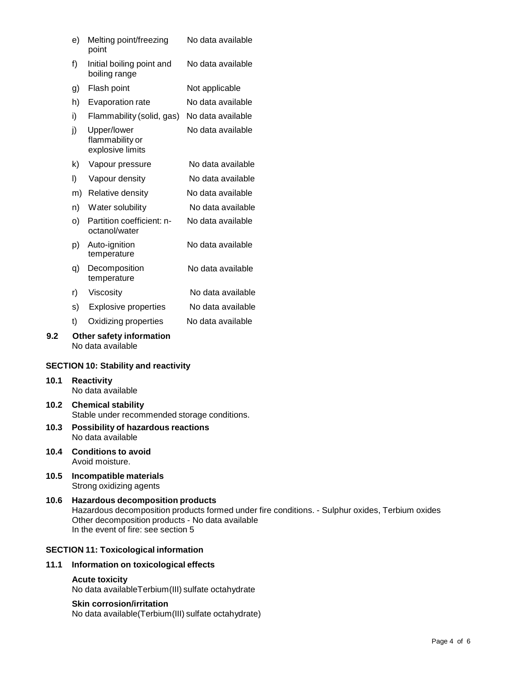|                                             | e)                | Melting point/freezing<br>point                    | No data available |
|---------------------------------------------|-------------------|----------------------------------------------------|-------------------|
|                                             | f)                | Initial boiling point and<br>boiling range         | No data available |
|                                             | g)                | Flash point                                        | Not applicable    |
|                                             | h)                | Evaporation rate                                   | No data available |
|                                             | i)                | Flammability (solid, gas)                          | No data available |
|                                             | j)                | Upper/lower<br>flammability or<br>explosive limits | No data available |
|                                             | k)                | Vapour pressure                                    | No data available |
|                                             | I)                | Vapour density                                     | No data available |
|                                             | m)                | Relative density                                   | No data available |
|                                             | n)                | Water solubility                                   | No data available |
|                                             | O)                | Partition coefficient: n-<br>octanol/water         | No data available |
|                                             | p)                | Auto-ignition<br>temperature                       | No data available |
|                                             | q)                | Decomposition<br>temperature                       | No data available |
|                                             | r)                | Viscosity                                          | No data available |
|                                             | s)                | <b>Explosive properties</b>                        | No data available |
|                                             | t)                | Oxidizing properties                               | No data available |
| 9.2                                         |                   | Other safety information<br>No data available      |                   |
| <b>SECTION 10: Stability and reactivity</b> |                   |                                                    |                   |
| 10.1                                        |                   | <b>Reactivity</b>                                  |                   |
|                                             | No data available |                                                    |                   |

# **10.2 Chemical stability** Stable under recommended storage conditions.

- **10.3 Possibility of hazardous reactions** No data available
- **10.4 Conditions to avoid** Avoid moisture.

**10.5 Incompatible materials** Strong oxidizing agents

# **10.6 Hazardous decomposition products** Hazardous decomposition products formed under fire conditions. - Sulphur oxides, Terbium oxides Other decomposition products - No data available In the event of fire: see section 5

## **SECTION 11: Toxicological information**

## **11.1 Information on toxicological effects**

# **Acute toxicity**

No data availableTerbium(III) sulfate octahydrate

## **Skin corrosion/irritation**

No data available(Terbium(III) sulfate octahydrate)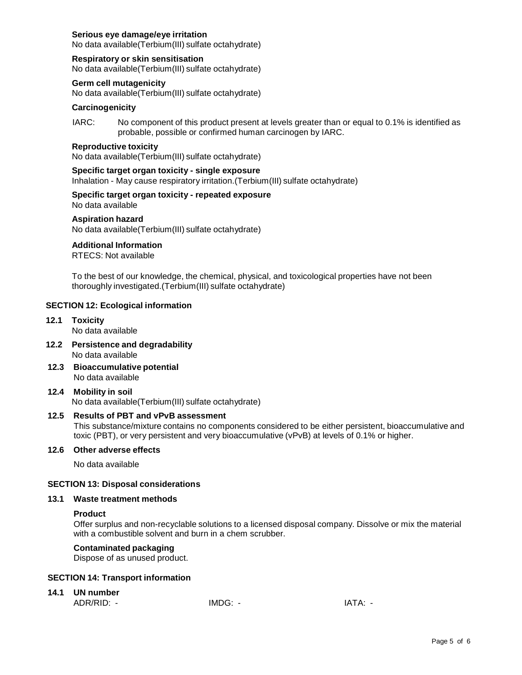## **Serious eye damage/eye irritation**

No data available(Terbium(III) sulfate octahydrate)

## **Respiratory or skin sensitisation**

No data available(Terbium(III) sulfate octahydrate)

#### **Germ cell mutagenicity**

No data available(Terbium(III) sulfate octahydrate)

#### **Carcinogenicity**

IARC: No component of this product present at levels greater than or equal to 0.1% is identified as probable, possible or confirmed human carcinogen by IARC.

#### **Reproductive toxicity**

No data available(Terbium(III) sulfate octahydrate)

## **Specific target organ toxicity - single exposure** Inhalation - May cause respiratory irritation.(Terbium(III) sulfate octahydrate)

**Specific target organ toxicity - repeated exposure**

No data available

## **Aspiration hazard**

No data available(Terbium(III) sulfate octahydrate)

## **Additional Information**

RTECS: Not available

To the best of our knowledge, the chemical, physical, and toxicological properties have not been thoroughly investigated.(Terbium(III) sulfate octahydrate)

## **SECTION 12: Ecological information**

**12.1 Toxicity**

No data available

- **12.2 Persistence and degradability** No data available
- **12.3 Bioaccumulative potential** No data available

## **12.4 Mobility in soil**

No data available(Terbium(III) sulfate octahydrate)

#### **12.5 Results of PBT and vPvB assessment**

This substance/mixture contains no components considered to be either persistent, bioaccumulative and toxic (PBT), or very persistent and very bioaccumulative (vPvB) at levels of 0.1% or higher.

#### **12.6 Other adverse effects**

No data available

#### **SECTION 13: Disposal considerations**

#### **13.1 Waste treatment methods**

## **Product**

Offer surplus and non-recyclable solutions to a licensed disposal company. Dissolve or mix the material with a combustible solvent and burn in a chem scrubber.

#### **Contaminated packaging**

Dispose of as unused product.

#### **SECTION 14: Transport information**

## **14.1 UN number**